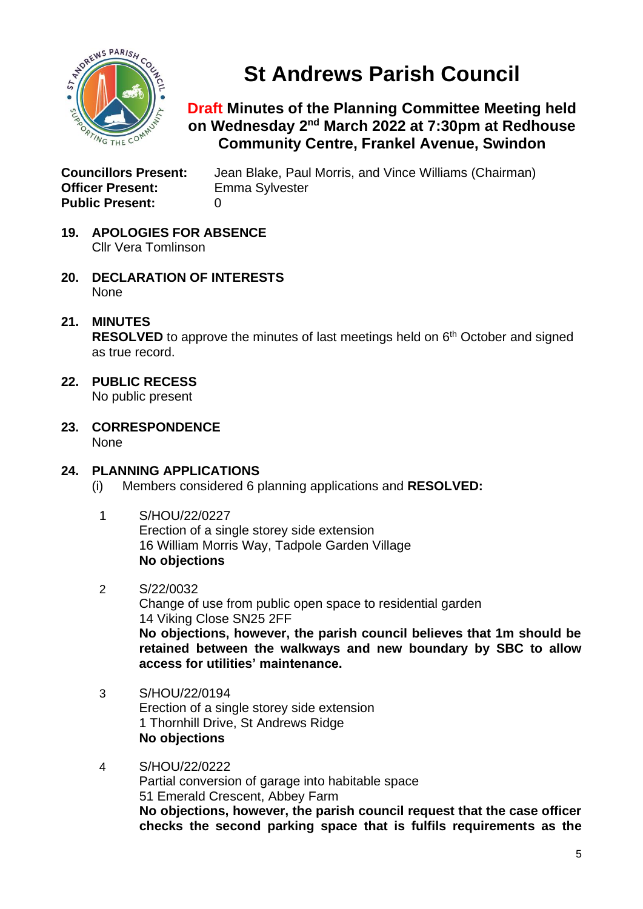

# **St Andrews Parish Council**

# **Draft Minutes of the Planning Committee Meeting held on Wednesday 2 nd March 2022 at 7:30pm at Redhouse Community Centre, Frankel Avenue, Swindon**

**Officer Present:** Emma Sylvester **Public Present:** 0

**Councillors Present:** Jean Blake, Paul Morris, and Vince Williams (Chairman)

- **19. APOLOGIES FOR ABSENCE** Cllr Vera Tomlinson
- **20. DECLARATION OF INTERESTS** None
- **21. MINUTES**

RESOLVED to approve the minutes of last meetings held on 6<sup>th</sup> October and signed as true record.

- **22. PUBLIC RECESS** No public present
- **23. CORRESPONDENCE** None

### **24. PLANNING APPLICATIONS**

(i) Members considered 6 planning applications and **RESOLVED:**

- 1 S/HOU/22/0227 Erection of a single storey side extension 16 William Morris Way, Tadpole Garden Village **No objections**
- 2 S/22/0032

Change of use from public open space to residential garden 14 Viking Close SN25 2FF **No objections, however, the parish council believes that 1m should be retained between the walkways and new boundary by SBC to allow access for utilities' maintenance.**

- 3 S/HOU/22/0194 Erection of a single storey side extension 1 Thornhill Drive, St Andrews Ridge **No objections**
- 4 S/HOU/22/0222 Partial conversion of garage into habitable space 51 Emerald Crescent, Abbey Farm **No objections, however, the parish council request that the case officer checks the second parking space that is fulfils requirements as the**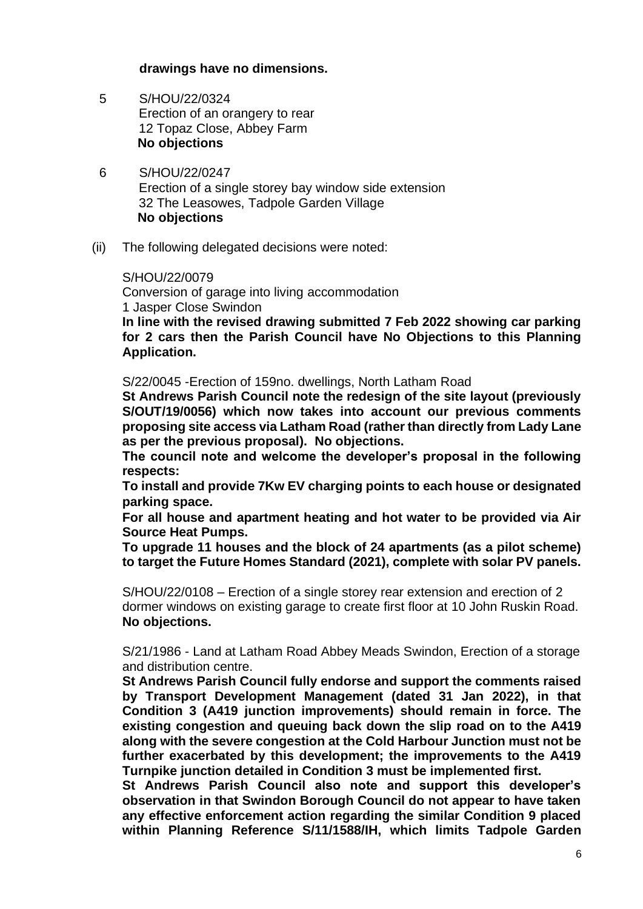#### **drawings have no dimensions.**

- 5 S/HOU/22/0324 Erection of an orangery to rear 12 Topaz Close, Abbey Farm **No objections**
- 6 S/HOU/22/0247 Erection of a single storey bay window side extension 32 The Leasowes, Tadpole Garden Village **No objections**
- (ii) The following delegated decisions were noted:

#### S/HOU/22/0079

Conversion of garage into living accommodation 1 Jasper Close Swindon

**In line with the revised drawing submitted 7 Feb 2022 showing car parking for 2 cars then the Parish Council have No Objections to this Planning Application.**

S/22/0045 -Erection of 159no. dwellings, North Latham Road

**St Andrews Parish Council note the redesign of the site layout (previously S/OUT/19/0056) which now takes into account our previous comments proposing site access via Latham Road (rather than directly from Lady Lane as per the previous proposal). No objections.**

**The council note and welcome the developer's proposal in the following respects:**

**To install and provide 7Kw EV charging points to each house or designated parking space.**

**For all house and apartment heating and hot water to be provided via Air Source Heat Pumps.** 

**To upgrade 11 houses and the block of 24 apartments (as a pilot scheme) to target the Future Homes Standard (2021), complete with solar PV panels.**

S/HOU/22/0108 – Erection of a single storey rear extension and erection of 2 dormer windows on existing garage to create first floor at 10 John Ruskin Road. **No objections.**

S/21/1986 - Land at Latham Road Abbey Meads Swindon, Erection of a storage and distribution centre.

**St Andrews Parish Council fully endorse and support the comments raised by Transport Development Management (dated 31 Jan 2022), in that Condition 3 (A419 junction improvements) should remain in force. The existing congestion and queuing back down the slip road on to the A419 along with the severe congestion at the Cold Harbour Junction must not be further exacerbated by this development; the improvements to the A419 Turnpike junction detailed in Condition 3 must be implemented first.** 

**St Andrews Parish Council also note and support this developer's observation in that Swindon Borough Council do not appear to have taken any effective enforcement action regarding the similar Condition 9 placed within Planning Reference S/11/1588/IH, which limits Tadpole Garden**